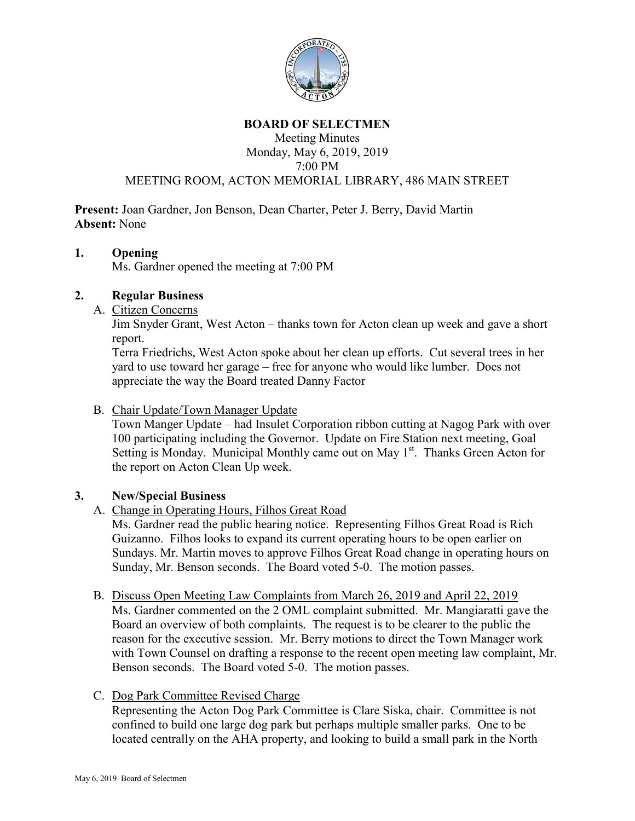

### **BOARD OF SELECTMEN**

Meeting Minutes Monday, May 6, 2019, 2019 7:00 PM

# MEETING ROOM, ACTON MEMORIAL LIBRARY, 486 MAIN STREET

**Present:** Joan Gardner, Jon Benson, Dean Charter, Peter J. Berry, David Martin **Absent:** None

### **1. Opening**

Ms. Gardner opened the meeting at 7:00 PM

## **2. Regular Business**

A. Citizen Concerns

Jim Snyder Grant, West Acton – thanks town for Acton clean up week and gave a short report.

Terra Friedrichs, West Acton spoke about her clean up efforts. Cut several trees in her yard to use toward her garage – free for anyone who would like lumber. Does not appreciate the way the Board treated Danny Factor

### B. Chair Update/Town Manager Update

Town Manger Update – had Insulet Corporation ribbon cutting at Nagog Park with over 100 participating including the Governor. Update on Fire Station next meeting, Goal Setting is Monday. Municipal Monthly came out on May  $1<sup>st</sup>$ . Thanks Green Acton for the report on Acton Clean Up week.

## **3. New/Special Business**

## A. Change in Operating Hours, Filhos Great Road

Ms. Gardner read the public hearing notice. Representing Filhos Great Road is Rich Guizanno. Filhos looks to expand its current operating hours to be open earlier on Sundays. Mr. Martin moves to approve Filhos Great Road change in operating hours on Sunday, Mr. Benson seconds. The Board voted 5-0. The motion passes.

## B. Discuss Open Meeting Law Complaints from March 26, 2019 and April 22, 2019

Ms. Gardner commented on the 2 OML complaint submitted. Mr. Mangiaratti gave the Board an overview of both complaints. The request is to be clearer to the public the reason for the executive session. Mr. Berry motions to direct the Town Manager work with Town Counsel on drafting a response to the recent open meeting law complaint, Mr. Benson seconds. The Board voted 5-0. The motion passes.

## C. Dog Park Committee Revised Charge

Representing the Acton Dog Park Committee is Clare Siska, chair. Committee is not confined to build one large dog park but perhaps multiple smaller parks. One to be located centrally on the AHA property, and looking to build a small park in the North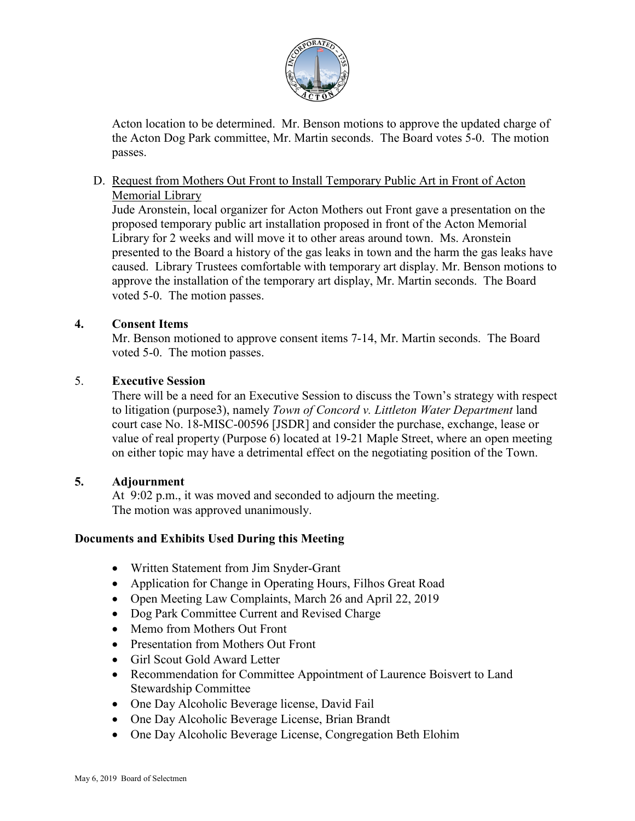

Acton location to be determined. Mr. Benson motions to approve the updated charge of the Acton Dog Park committee, Mr. Martin seconds. The Board votes 5-0. The motion passes.

D. Request from Mothers Out Front to Install Temporary Public Art in Front of Acton Memorial Library

Jude Aronstein, local organizer for Acton Mothers out Front gave a presentation on the proposed temporary public art installation proposed in front of the Acton Memorial Library for 2 weeks and will move it to other areas around town. Ms. Aronstein presented to the Board a history of the gas leaks in town and the harm the gas leaks have caused. Library Trustees comfortable with temporary art display. Mr. Benson motions to approve the installation of the temporary art display, Mr. Martin seconds. The Board voted 5-0. The motion passes.

## **4. Consent Items**

Mr. Benson motioned to approve consent items 7-14, Mr. Martin seconds. The Board voted 5-0. The motion passes.

### 5. **Executive Session**

There will be a need for an Executive Session to discuss the Town's strategy with respect to litigation (purpose3), namely *Town of Concord v. Littleton Water Department* land court case No. 18-MISC-00596 [JSDR] and consider the purchase, exchange, lease or value of real property (Purpose 6) located at 19-21 Maple Street, where an open meeting on either topic may have a detrimental effect on the negotiating position of the Town.

#### **5. Adjournment**

At 9:02 p.m., it was moved and seconded to adjourn the meeting. The motion was approved unanimously.

## **Documents and Exhibits Used During this Meeting**

- Written Statement from Jim Snyder-Grant
- Application for Change in Operating Hours, Filhos Great Road
- Open Meeting Law Complaints, March 26 and April 22, 2019
- Dog Park Committee Current and Revised Charge
- Memo from Mothers Out Front
- Presentation from Mothers Out Front
- Girl Scout Gold Award Letter
- Recommendation for Committee Appointment of Laurence Boisvert to Land Stewardship Committee
- One Day Alcoholic Beverage license, David Fail
- One Day Alcoholic Beverage License, Brian Brandt
- One Day Alcoholic Beverage License, Congregation Beth Elohim